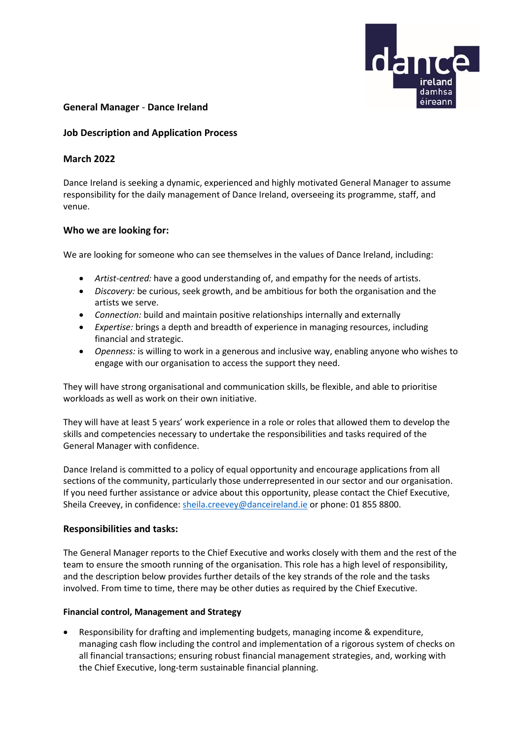

# **General Manager** - **Dance Ireland**

# **Job Description and Application Process**

# **March 2022**

Dance Ireland is seeking a dynamic, experienced and highly motivated General Manager to assume responsibility for the daily management of Dance Ireland, overseeing its programme, staff, and venue.

# **Who we are looking for:**

We are looking for someone who can see themselves in the values of Dance Ireland, including:

- *Artist-centred:* have a good understanding of, and empathy for the needs of artists.
- *Discovery:* be curious, seek growth, and be ambitious for both the organisation and the artists we serve.
- *Connection:* build and maintain positive relationships internally and externally
- *Expertise:* brings a depth and breadth of experience in managing resources, including financial and strategic.
- *Openness:* is willing to work in a generous and inclusive way, enabling anyone who wishes to engage with our organisation to access the support they need.

They will have strong organisational and communication skills, be flexible, and able to prioritise workloads as well as work on their own initiative.

They will have at least 5 years' work experience in a role or roles that allowed them to develop the skills and competencies necessary to undertake the responsibilities and tasks required of the General Manager with confidence.

Dance Ireland is committed to a policy of equal opportunity and encourage applications from all sections of the community, particularly those underrepresented in our sector and our organisation. If you need further assistance or advice about this opportunity, please contact the Chief Executive, Sheila Creevey, in confidence: [sheila.creevey@danceireland.ie](mailto:sheila.creevey@danceireland.ie) or phone: 01 855 8800.

# **Responsibilities and tasks:**

The General Manager reports to the Chief Executive and works closely with them and the rest of the team to ensure the smooth running of the organisation. This role has a high level of responsibility, and the description below provides further details of the key strands of the role and the tasks involved. From time to time, there may be other duties as required by the Chief Executive.

# **Financial control, Management and Strategy**

• Responsibility for drafting and implementing budgets, managing income & expenditure, managing cash flow including the control and implementation of a rigorous system of checks on all financial transactions; ensuring robust financial management strategies, and, working with the Chief Executive, long-term sustainable financial planning.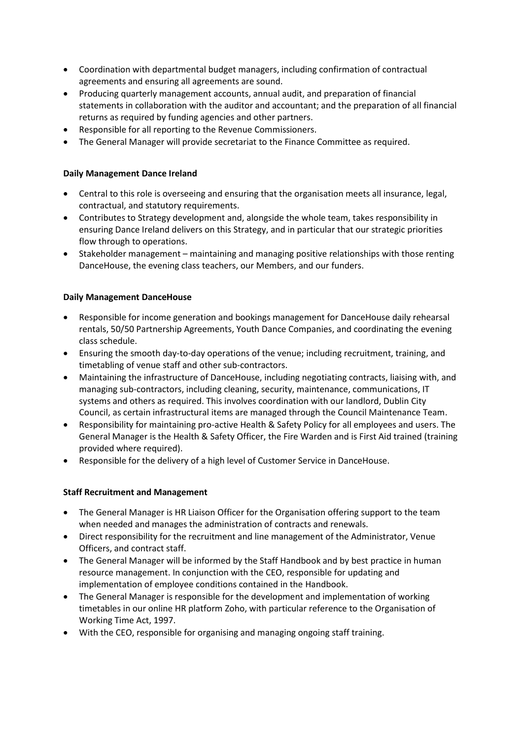- Coordination with departmental budget managers, including confirmation of contractual agreements and ensuring all agreements are sound.
- Producing quarterly management accounts, annual audit, and preparation of financial statements in collaboration with the auditor and accountant; and the preparation of all financial returns as required by funding agencies and other partners.
- Responsible for all reporting to the Revenue Commissioners.
- The General Manager will provide secretariat to the Finance Committee as required.

# **Daily Management Dance Ireland**

- Central to this role is overseeing and ensuring that the organisation meets all insurance, legal, contractual, and statutory requirements.
- Contributes to Strategy development and, alongside the whole team, takes responsibility in ensuring Dance Ireland delivers on this Strategy, and in particular that our strategic priorities flow through to operations.
- Stakeholder management maintaining and managing positive relationships with those renting DanceHouse, the evening class teachers, our Members, and our funders.

# **Daily Management DanceHouse**

- Responsible for income generation and bookings management for DanceHouse daily rehearsal rentals, 50/50 Partnership Agreements, Youth Dance Companies, and coordinating the evening class schedule.
- Ensuring the smooth day-to-day operations of the venue; including recruitment, training, and timetabling of venue staff and other sub-contractors.
- Maintaining the infrastructure of DanceHouse, including negotiating contracts, liaising with, and managing sub-contractors, including cleaning, security, maintenance, communications, IT systems and others as required. This involves coordination with our landlord, Dublin City Council, as certain infrastructural items are managed through the Council Maintenance Team.
- Responsibility for maintaining pro-active Health & Safety Policy for all employees and users. The General Manager is the Health & Safety Officer, the Fire Warden and is First Aid trained (training provided where required).
- Responsible for the delivery of a high level of Customer Service in DanceHouse.

# **Staff Recruitment and Management**

- The General Manager is HR Liaison Officer for the Organisation offering support to the team when needed and manages the administration of contracts and renewals.
- Direct responsibility for the recruitment and line management of the Administrator, Venue Officers, and contract staff.
- The General Manager will be informed by the Staff Handbook and by best practice in human resource management. In conjunction with the CEO, responsible for updating and implementation of employee conditions contained in the Handbook.
- The General Manager is responsible for the development and implementation of working timetables in our online HR platform Zoho, with particular reference to the Organisation of Working Time Act, 1997.
- With the CEO, responsible for organising and managing ongoing staff training.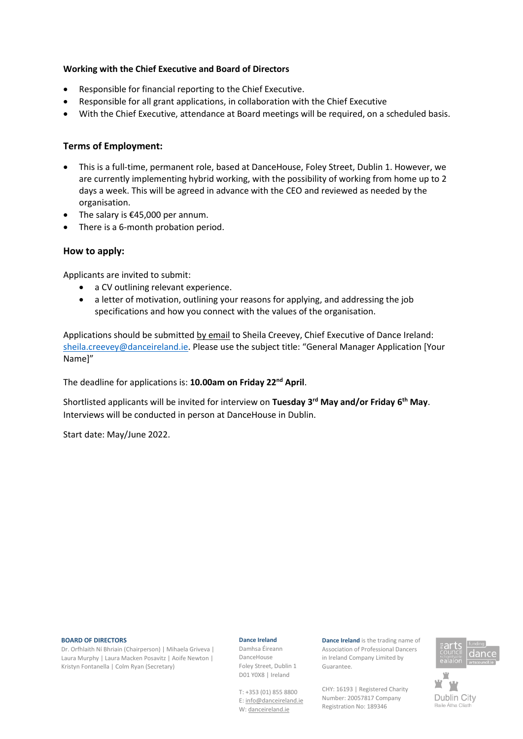# **Working with the Chief Executive and Board of Directors**

- Responsible for financial reporting to the Chief Executive.
- Responsible for all grant applications, in collaboration with the Chief Executive
- With the Chief Executive, attendance at Board meetings will be required, on a scheduled basis.

# **Terms of Employment:**

- This is a full-time, permanent role, based at DanceHouse, Foley Street, Dublin 1. However, we are currently implementing hybrid working, with the possibility of working from home up to 2 days a week. This will be agreed in advance with the CEO and reviewed as needed by the organisation.
- The salary is  $£45,000$  per annum.
- There is a 6-month probation period.

# **How to apply:**

Applicants are invited to submit:

- a CV outlining relevant experience.
- a letter of motivation, outlining your reasons for applying, and addressing the job specifications and how you connect with the values of the organisation.

Applications should be submitted by email to Sheila Creevey, Chief Executive of Dance Ireland: [sheila.creevey@danceireland.ie](mailto:sheila.creevey@danceireland.ie). Please use the subject title: "General Manager Application [Your Name]"

The deadline for applications is: **10.00am on Friday 22nd April**.

Shortlisted applicants will be invited for interview on **Tuesday 3rd May and/or Friday 6th May**. Interviews will be conducted in person at DanceHouse in Dublin.

Start date: May/June 2022.

#### **BOARD OF DIRECTORS**

Dr. Orfhlaith Ní Bhriain (Chairperson) | Mihaela Griveva | Laura Murphy | Laura Macken Posavitz | Aoife Newton | Kristyn Fontanella | Colm Ryan (Secretary)

#### **Dance Ireland**

Damhsa Éireann DanceHouse Foley Street, Dublin 1 D01 Y0X8 | Ireland

T: +353 (01) 855 8800 E[: info@danceireland.ie](mailto:info@danceireland.ie) W[: danceireland.ie](http://www.danceireland.ie/)

**Dance Ireland** is the trading name of Association of Professional Dancers in Ireland Company Limited by Guarantee.

CHY: 16193 | Registered Charity Number: 20057817 Company Registration No: 189346



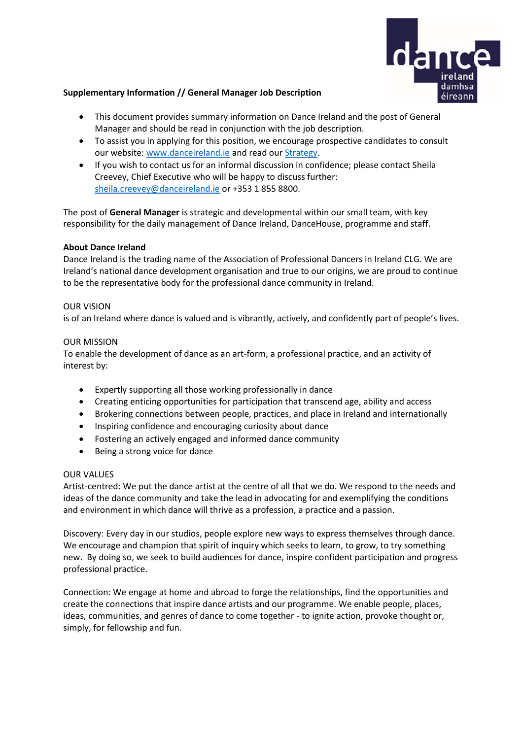

# **Supplementary Information // General Manager Job Description**

- This document provides summary information on Dance Ireland and the post of General Manager and should be read in conjunction with the job description.
- To assist you in applying for this position, we encourage prospective candidates to consult our website[: www.danceireland.ie](http://www.danceireland.ie/) and read our [Strategy.](https://www.danceireland.ie/content/pubs/danceireland_strategy.pdf)
- If you wish to contact us for an informal discussion in confidence; please contact Sheila Creevey, Chief Executive who will be happy to discuss further: [sheila.creevey@danceireland.ie](mailto:sheila.creevey@danceireland.ie) or +353 1 855 8800.

The post of **General Manager** is strategic and developmental within our small team, with key responsibility for the daily management of Dance Ireland, DanceHouse, programme and staff.

# **About Dance Ireland**

Dance Ireland is the trading name of the Association of Professional Dancers in Ireland CLG. We are Ireland's national dance development organisation and true to our origins, we are proud to continue to be the representative body for the professional dance community in Ireland.

# OUR VISION

is of an Ireland where dance is valued and is vibrantly, actively, and confidently part of people's lives.

### OUR MISSION

To enable the development of dance as an art-form, a professional practice, and an activity of interest by:

- Expertly supporting all those working professionally in dance
- Creating enticing opportunities for participation that transcend age, ability and access
- Brokering connections between people, practices, and place in Ireland and internationally
- Inspiring confidence and encouraging curiosity about dance
- Fostering an actively engaged and informed dance community
- Being a strong voice for dance

# OUR VALUES

Artist-centred: We put the dance artist at the centre of all that we do. We respond to the needs and ideas of the dance community and take the lead in advocating for and exemplifying the conditions and environment in which dance will thrive as a profession, a practice and a passion.

Discovery: Every day in our studios, people explore new ways to express themselves through dance. We encourage and champion that spirit of inquiry which seeks to learn, to grow, to try something new. By doing so, we seek to build audiences for dance, inspire confident participation and progress professional practice.

Connection: We engage at home and abroad to forge the relationships, find the opportunities and create the connections that inspire dance artists and our programme. We enable people, places, ideas, communities, and genres of dance to come together - to ignite action, provoke thought or, simply, for fellowship and fun.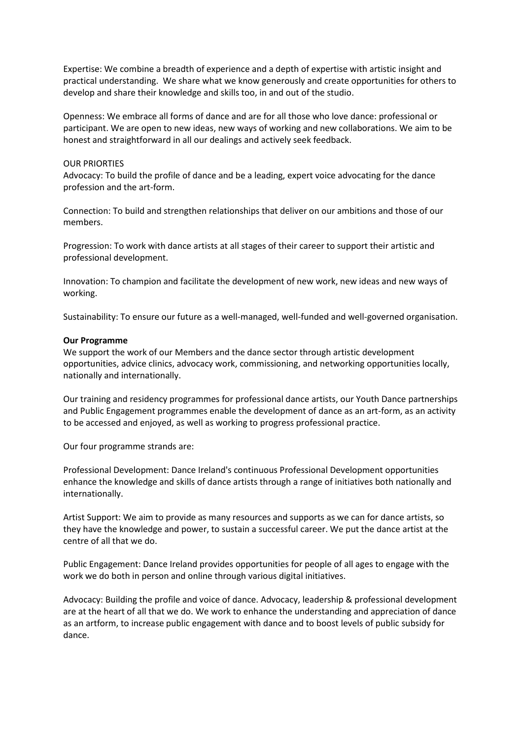Expertise: We combine a breadth of experience and a depth of expertise with artistic insight and practical understanding. We share what we know generously and create opportunities for others to develop and share their knowledge and skills too, in and out of the studio.

Openness: We embrace all forms of dance and are for all those who love dance: professional or participant. We are open to new ideas, new ways of working and new collaborations. We aim to be honest and straightforward in all our dealings and actively seek feedback.

### OUR PRIORTIES

Advocacy: To build the profile of dance and be a leading, expert voice advocating for the dance profession and the art-form.

Connection: To build and strengthen relationships that deliver on our ambitions and those of our members.

Progression: To work with dance artists at all stages of their career to support their artistic and professional development.

Innovation: To champion and facilitate the development of new work, new ideas and new ways of working.

Sustainability: To ensure our future as a well-managed, well-funded and well-governed organisation.

#### **Our Programme**

We support the work of our Members and the dance sector through artistic development opportunities, advice clinics, advocacy work, commissioning, and networking opportunities locally, nationally and internationally.

Our training and residency programmes for professional dance artists, our Youth Dance partnerships and Public Engagement programmes enable the development of dance as an art-form, as an activity to be accessed and enjoyed, as well as working to progress professional practice.

Our four programme strands are:

Professional Development: Dance Ireland's continuous Professional Development opportunities enhance the knowledge and skills of dance artists through a range of initiatives both nationally and internationally.

Artist Support: We aim to provide as many resources and supports as we can for dance artists, so they have the knowledge and power, to sustain a successful career. We put the dance artist at the centre of all that we do.

Public Engagement: Dance Ireland provides opportunities for people of all ages to engage with the work we do both in person and online through various digital initiatives.

Advocacy: Building the profile and voice of dance. Advocacy, leadership & professional development are at the heart of all that we do. We work to enhance the understanding and appreciation of dance as an artform, to increase public engagement with dance and to boost levels of public subsidy for dance.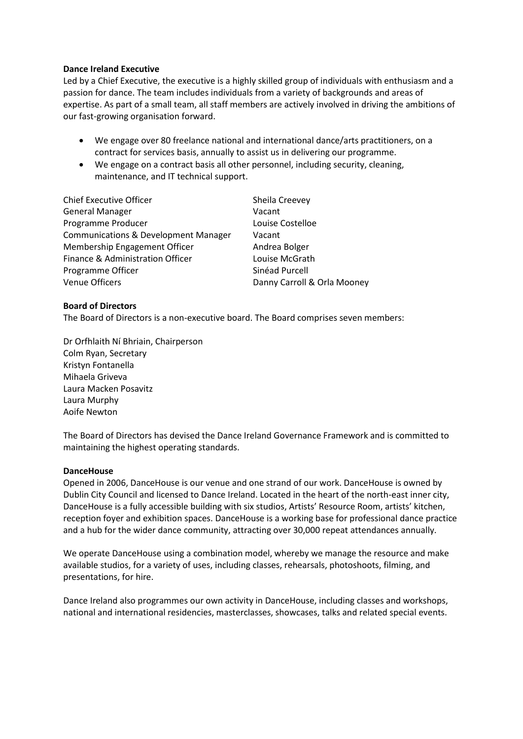## **Dance Ireland Executive**

Led by a Chief Executive, the executive is a highly skilled group of individuals with enthusiasm and a passion for dance. The team includes individuals from a variety of backgrounds and areas of expertise. As part of a small team, all staff members are actively involved in driving the ambitions of our fast-growing organisation forward.

- We engage over 80 freelance national and international dance/arts practitioners, on a contract for services basis, annually to assist us in delivering our programme.
- We engage on a contract basis all other personnel, including security, cleaning, maintenance, and IT technical support.

| <b>Chief Executive Officer</b>                  | Sheila Creevey              |
|-------------------------------------------------|-----------------------------|
| <b>General Manager</b>                          | Vacant                      |
| Programme Producer                              | Louise Costelloe            |
| <b>Communications &amp; Development Manager</b> | Vacant                      |
| Membership Engagement Officer                   | Andrea Bolger               |
| <b>Finance &amp; Administration Officer</b>     | Louise McGrath              |
| Programme Officer                               | Sinéad Purcell              |
| <b>Venue Officers</b>                           | Danny Carroll & Orla Mooney |

### **Board of Directors**

The Board of Directors is a non-executive board. The Board comprises seven members:

Dr Orfhlaith Ní Bhriain, Chairperson Colm Ryan, Secretary Kristyn Fontanella Mihaela Griveva Laura Macken Posavitz Laura Murphy Aoife Newton

The Board of Directors has devised the Dance Ireland Governance Framework and is committed to maintaining the highest operating standards.

#### **DanceHouse**

Opened in 2006, DanceHouse is our venue and one strand of our work. DanceHouse is owned by Dublin City Council and licensed to Dance Ireland. Located in the heart of the north-east inner city, DanceHouse is a fully accessible building with six studios, Artists' Resource Room, artists' kitchen, reception foyer and exhibition spaces. DanceHouse is a working base for professional dance practice and a hub for the wider dance community, attracting over 30,000 repeat attendances annually.

We operate DanceHouse using a combination model, whereby we manage the resource and make available studios, for a variety of uses, including classes, rehearsals, photoshoots, filming, and presentations, for hire.

Dance Ireland also programmes our own activity in DanceHouse, including classes and workshops, national and international residencies, masterclasses, showcases, talks and related special events.